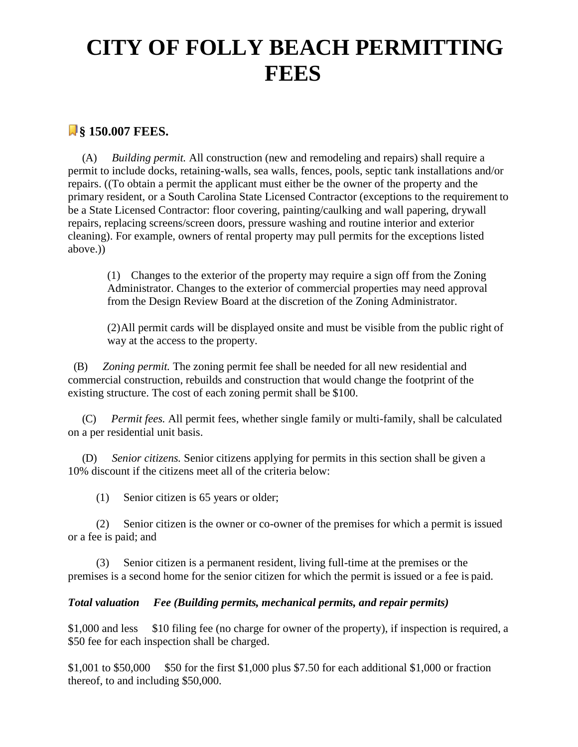## **CITY OF FOLLY BEACH PERMITTING FEES**

## **§ 150.007 FEES.**

(A) *Building permit.* All construction (new and remodeling and repairs) shall require a permit to include docks, retaining-walls, sea walls, fences, pools, septic tank installations and/or repairs. ((To obtain a permit the applicant must either be the owner of the property and the primary resident, or a South Carolina State Licensed Contractor (exceptions to the requirement to be a State Licensed Contractor: floor covering, painting/caulking and wall papering, drywall repairs, replacing screens/screen doors, pressure washing and routine interior and exterior cleaning). For example, owners of rental property may pull permits for the exceptions listed above.))

(1) Changes to the exterior of the property may require a sign off from the Zoning Administrator. Changes to the exterior of commercial properties may need approval from the Design Review Board at the discretion of the Zoning Administrator.

(2)All permit cards will be displayed onsite and must be visible from the public right of way at the access to the property.

(B) *Zoning permit.* The zoning permit fee shall be needed for all new residential and commercial construction, rebuilds and construction that would change the footprint of the existing structure. The cost of each zoning permit shall be \$100.

(C) *Permit fees.* All permit fees, whether single family or multi-family, shall be calculated on a per residential unit basis.

(D) *Senior citizens.* Senior citizens applying for permits in this section shall be given a 10% discount if the citizens meet all of the criteria below:

(1) Senior citizen is 65 years or older;

(2) Senior citizen is the owner or co-owner of the premises for which a permit is issued or a fee is paid; and

(3) Senior citizen is a permanent resident, living full-time at the premises or the premises is a second home for the senior citizen for which the permit is issued or a fee is paid.

## *Total valuation Fee (Building permits, mechanical permits, and repair permits)*

\$1,000 and less \$10 filing fee (no charge for owner of the property), if inspection is required, a \$50 fee for each inspection shall be charged.

\$1,001 to \$50,000 \$50 for the first \$1,000 plus \$7.50 for each additional \$1,000 or fraction thereof, to and including \$50,000.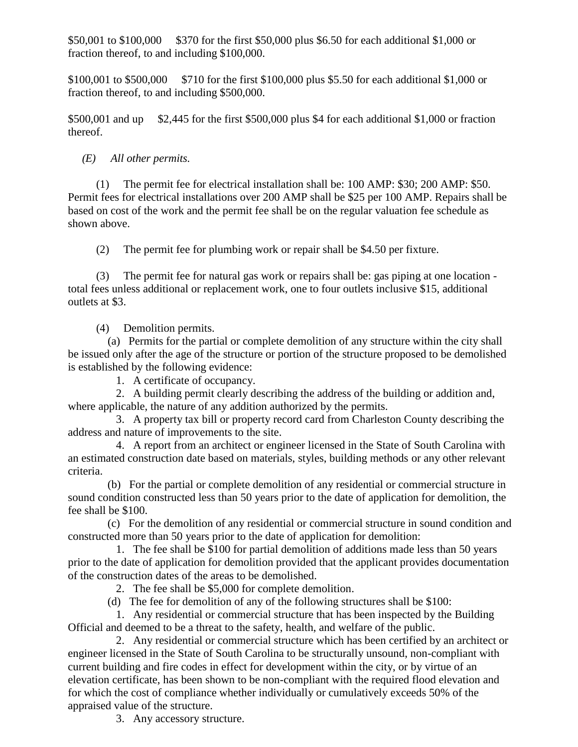\$50,001 to \$100,000 \$370 for the first \$50,000 plus \$6.50 for each additional \$1,000 or fraction thereof, to and including \$100,000.

\$100,001 to \$500,000 \$710 for the first \$100,000 plus \$5.50 for each additional \$1,000 or fraction thereof, to and including \$500,000.

\$500,001 and up \$2,445 for the first \$500,000 plus \$4 for each additional \$1,000 or fraction thereof.

*(E) All other permits.*

(1) The permit fee for electrical installation shall be: 100 AMP: \$30; 200 AMP: \$50. Permit fees for electrical installations over 200 AMP shall be \$25 per 100 AMP. Repairs shall be based on cost of the work and the permit fee shall be on the regular valuation fee schedule as shown above.

(2) The permit fee for plumbing work or repair shall be \$4.50 per fixture.

(3) The permit fee for natural gas work or repairs shall be: gas piping at one location total fees unless additional or replacement work, one to four outlets inclusive \$15, additional outlets at \$3.

(4) Demolition permits.

(a) Permits for the partial or complete demolition of any structure within the city shall be issued only after the age of the structure or portion of the structure proposed to be demolished is established by the following evidence:

1. A certificate of occupancy.

2. A building permit clearly describing the address of the building or addition and, where applicable, the nature of any addition authorized by the permits.

3. A property tax bill or property record card from Charleston County describing the address and nature of improvements to the site.

4. A report from an architect or engineer licensed in the State of South Carolina with an estimated construction date based on materials, styles, building methods or any other relevant criteria.

(b) For the partial or complete demolition of any residential or commercial structure in sound condition constructed less than 50 years prior to the date of application for demolition, the fee shall be \$100.

(c) For the demolition of any residential or commercial structure in sound condition and constructed more than 50 years prior to the date of application for demolition:

1. The fee shall be \$100 for partial demolition of additions made less than 50 years prior to the date of application for demolition provided that the applicant provides documentation of the construction dates of the areas to be demolished.

2. The fee shall be \$5,000 for complete demolition.

(d) The fee for demolition of any of the following structures shall be \$100:

1. Any residential or commercial structure that has been inspected by the Building Official and deemed to be a threat to the safety, health, and welfare of the public.

2. Any residential or commercial structure which has been certified by an architect or engineer licensed in the State of South Carolina to be structurally unsound, non-compliant with current building and fire codes in effect for development within the city, or by virtue of an elevation certificate, has been shown to be non-compliant with the required flood elevation and for which the cost of compliance whether individually or cumulatively exceeds 50% of the appraised value of the structure.

3. Any accessory structure.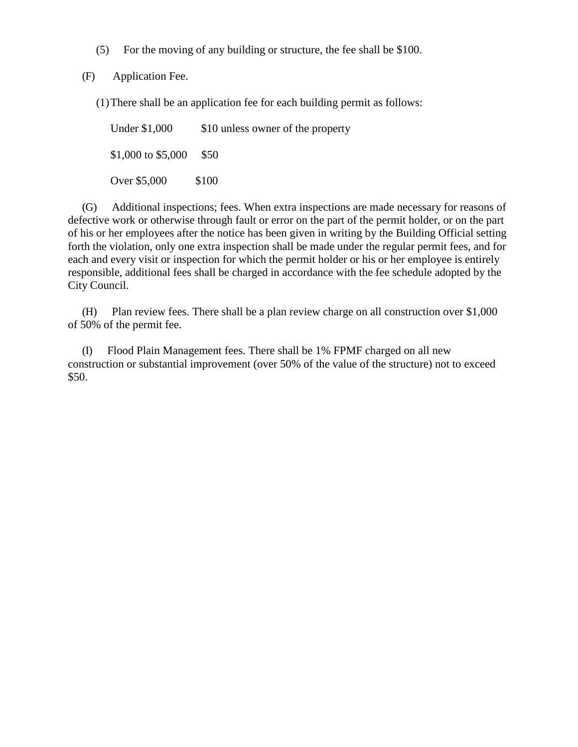(5) For the moving of any building or structure, the fee shall be \$100.

(F) Application Fee.

(1)There shall be an application fee for each building permit as follows:

Under \$1,000 \$10 unless owner of the property \$1,000 to \$5,000 \$50 Over \$5,000 \$100

(G) Additional inspections; fees. When extra inspections are made necessary for reasons of defective work or otherwise through fault or error on the part of the permit holder, or on the part of his or her employees after the notice has been given in writing by the Building Official setting forth the violation, only one extra inspection shall be made under the regular permit fees, and for each and every visit or inspection for which the permit holder or his or her employee is entirely responsible, additional fees shall be charged in accordance with the fee schedule adopted by the City Council.

(H) Plan review fees. There shall be a plan review charge on all construction over \$1,000 of 50% of the permit fee.

(I) Flood Plain Management fees. There shall be 1% FPMF charged on all new construction or substantial improvement (over 50% of the value of the structure) not to exceed \$50.